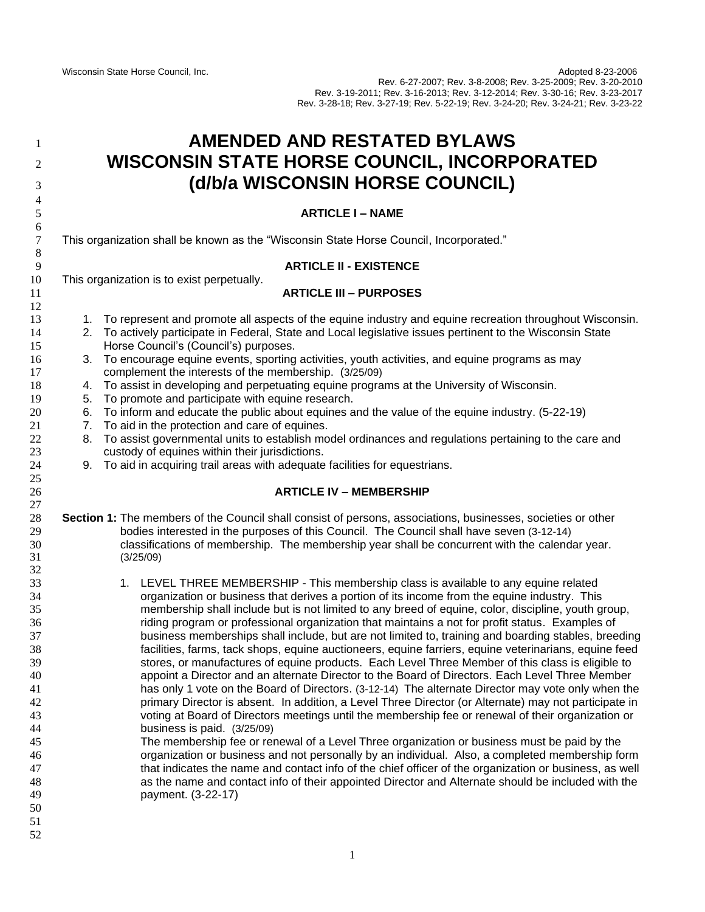| 1<br>2<br>3                                                                                                                      | <b>AMENDED AND RESTATED BYLAWS</b><br>WISCONSIN STATE HORSE COUNCIL, INCORPORATED<br>(d/b/a WISCONSIN HORSE COUNCIL)                                                                                                                                                                                                                                                                                                                                                                                                                                                                                                                                                                                                                                                                                                                                                                                                                                                                                                                                                                                                                                                                                                                                                                                                                                                                                                                                                                                                                                                                                              |  |  |  |
|----------------------------------------------------------------------------------------------------------------------------------|-------------------------------------------------------------------------------------------------------------------------------------------------------------------------------------------------------------------------------------------------------------------------------------------------------------------------------------------------------------------------------------------------------------------------------------------------------------------------------------------------------------------------------------------------------------------------------------------------------------------------------------------------------------------------------------------------------------------------------------------------------------------------------------------------------------------------------------------------------------------------------------------------------------------------------------------------------------------------------------------------------------------------------------------------------------------------------------------------------------------------------------------------------------------------------------------------------------------------------------------------------------------------------------------------------------------------------------------------------------------------------------------------------------------------------------------------------------------------------------------------------------------------------------------------------------------------------------------------------------------|--|--|--|
| $\overline{4}$<br>5                                                                                                              | <b>ARTICLE I - NAME</b>                                                                                                                                                                                                                                                                                                                                                                                                                                                                                                                                                                                                                                                                                                                                                                                                                                                                                                                                                                                                                                                                                                                                                                                                                                                                                                                                                                                                                                                                                                                                                                                           |  |  |  |
| 6<br>$\tau$                                                                                                                      | This organization shall be known as the "Wisconsin State Horse Council, Incorporated."                                                                                                                                                                                                                                                                                                                                                                                                                                                                                                                                                                                                                                                                                                                                                                                                                                                                                                                                                                                                                                                                                                                                                                                                                                                                                                                                                                                                                                                                                                                            |  |  |  |
| $\,8\,$<br>9                                                                                                                     | <b>ARTICLE II - EXISTENCE</b>                                                                                                                                                                                                                                                                                                                                                                                                                                                                                                                                                                                                                                                                                                                                                                                                                                                                                                                                                                                                                                                                                                                                                                                                                                                                                                                                                                                                                                                                                                                                                                                     |  |  |  |
| 10<br>11                                                                                                                         | This organization is to exist perpetually.<br><b>ARTICLE III - PURPOSES</b>                                                                                                                                                                                                                                                                                                                                                                                                                                                                                                                                                                                                                                                                                                                                                                                                                                                                                                                                                                                                                                                                                                                                                                                                                                                                                                                                                                                                                                                                                                                                       |  |  |  |
| 12<br>13<br>14<br>15<br>16<br>17<br>18<br>19<br>20<br>21<br>$22\,$<br>23<br>24<br>25<br>$26\,$<br>27<br>$28\,$<br>29<br>30<br>31 | 1. To represent and promote all aspects of the equine industry and equine recreation throughout Wisconsin.<br>2. To actively participate in Federal, State and Local legislative issues pertinent to the Wisconsin State<br>Horse Council's (Council's) purposes.<br>3. To encourage equine events, sporting activities, youth activities, and equine programs as may<br>complement the interests of the membership. (3/25/09)<br>4. To assist in developing and perpetuating equine programs at the University of Wisconsin.<br>To promote and participate with equine research.<br>5.<br>To inform and educate the public about equines and the value of the equine industry. (5-22-19)<br>6.<br>To aid in the protection and care of equines.<br>7.<br>To assist governmental units to establish model ordinances and regulations pertaining to the care and<br>8.<br>custody of equines within their jurisdictions.<br>9. To aid in acquiring trail areas with adequate facilities for equestrians.<br><b>ARTICLE IV - MEMBERSHIP</b><br>Section 1: The members of the Council shall consist of persons, associations, businesses, societies or other<br>bodies interested in the purposes of this Council. The Council shall have seven (3-12-14)<br>classifications of membership. The membership year shall be concurrent with the calendar year.<br>(3/25/09)                                                                                                                                                                                                                                             |  |  |  |
| 32<br>33<br>34<br>35<br>36<br>37<br>38<br>39<br>40<br>41<br>42<br>43<br>44<br>45<br>46<br>47<br>48<br>49<br>50<br>51<br>52       | 1. LEVEL THREE MEMBERSHIP - This membership class is available to any equine related<br>organization or business that derives a portion of its income from the equine industry. This<br>membership shall include but is not limited to any breed of equine, color, discipline, youth group,<br>riding program or professional organization that maintains a not for profit status. Examples of<br>business memberships shall include, but are not limited to, training and boarding stables, breeding<br>facilities, farms, tack shops, equine auctioneers, equine farriers, equine veterinarians, equine feed<br>stores, or manufactures of equine products. Each Level Three Member of this class is eligible to<br>appoint a Director and an alternate Director to the Board of Directors. Each Level Three Member<br>has only 1 vote on the Board of Directors. (3-12-14) The alternate Director may vote only when the<br>primary Director is absent. In addition, a Level Three Director (or Alternate) may not participate in<br>voting at Board of Directors meetings until the membership fee or renewal of their organization or<br>business is paid. (3/25/09)<br>The membership fee or renewal of a Level Three organization or business must be paid by the<br>organization or business and not personally by an individual. Also, a completed membership form<br>that indicates the name and contact info of the chief officer of the organization or business, as well<br>as the name and contact info of their appointed Director and Alternate should be included with the<br>payment. (3-22-17) |  |  |  |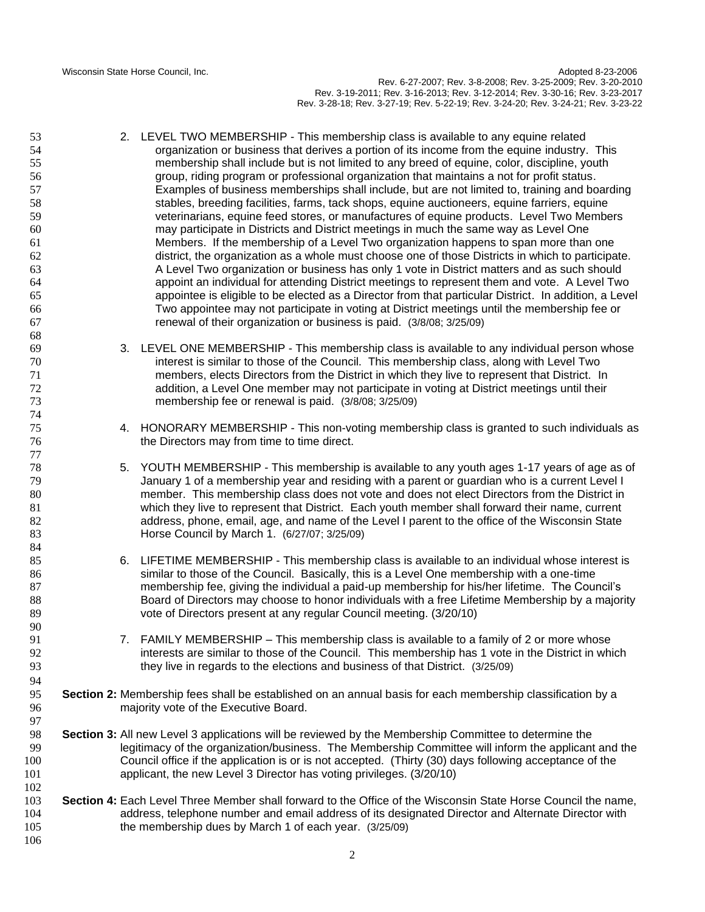Wisconsin State Horse Council, Inc. **Adopted 8-23-2006** Nisconsin State Horse Council, Inc. Rev. 6-27-2007; Rev. 3-8-2008; Rev. 3-25-2009; Rev. 3-20-2010 Rev. 3-19-2011; Rev. 3-16-2013; Rev. 3-12-2014; Rev. 3-30-16; Rev. 3-23-2017 Rev. 3-28-18; Rev. 3-27-19; Rev. 5-22-19; Rev. 3-24-20; Rev. 3-24-21; Rev. 3-23-22

- 2. LEVEL TWO MEMBERSHIP This membership class is available to any equine related organization or business that derives a portion of its income from the equine industry. This membership shall include but is not limited to any breed of equine, color, discipline, youth group, riding program or professional organization that maintains a not for profit status. Examples of business memberships shall include, but are not limited to, training and boarding stables, breeding facilities, farms, tack shops, equine auctioneers, equine farriers, equine veterinarians, equine feed stores, or manufactures of equine products. Level Two Members may participate in Districts and District meetings in much the same way as Level One Members. If the membership of a Level Two organization happens to span more than one district, the organization as a whole must choose one of those Districts in which to participate. A Level Two organization or business has only 1 vote in District matters and as such should appoint an individual for attending District meetings to represent them and vote. A Level Two appointee is eligible to be elected as a Director from that particular District. In addition, a Level Two appointee may not participate in voting at District meetings until the membership fee or renewal of their organization or business is paid. (3/8/08; 3/25/09)
- 3. LEVEL ONE MEMBERSHIP This membership class is available to any individual person whose interest is similar to those of the Council. This membership class, along with Level Two members, elects Directors from the District in which they live to represent that District. In addition, a Level One member may not participate in voting at District meetings until their membership fee or renewal is paid. (3/8/08; 3/25/09)
- 4. HONORARY MEMBERSHIP This non-voting membership class is granted to such individuals as the Directors may from time to time direct.
- 5. YOUTH MEMBERSHIP This membership is available to any youth ages 1-17 years of age as of 79 January 1 of a membership year and residing with a parent or guardian who is a current Level I member. This membership class does not vote and does not elect Directors from the District in which they live to represent that District. Each youth member shall forward their name, current address, phone, email, age, and name of the Level I parent to the office of the Wisconsin State Horse Council by March 1. (6/27/07; 3/25/09)
- 6. LIFETIME MEMBERSHIP This membership class is available to an individual whose interest is similar to those of the Council. Basically, this is a Level One membership with a one-time membership fee, giving the individual a paid-up membership for his/her lifetime. The Council's 88 Board of Directors may choose to honor individuals with a free Lifetime Membership by a majority vote of Directors present at any regular Council meeting. (3/20/10)
- 91 7. FAMILY MEMBERSHIP This membership class is available to a family of 2 or more whose interests are similar to those of the Council. This membership has 1 vote in the District in which they live in regards to the elections and business of that District. (3/25/09)
- **Section 2:** Membership fees shall be established on an annual basis for each membership classification by a majority vote of the Executive Board.
- **Section 3:** All new Level 3 applications will be reviewed by the Membership Committee to determine the legitimacy of the organization/business. The Membership Committee will inform the applicant and the Council office if the application is or is not accepted. (Thirty (30) days following acceptance of the applicant, the new Level 3 Director has voting privileges. (3/20/10)
- **Section 4:** Each Level Three Member shall forward to the Office of the Wisconsin State Horse Council the name, address, telephone number and email address of its designated Director and Alternate Director with the membership dues by March 1 of each year. (3/25/09)
	-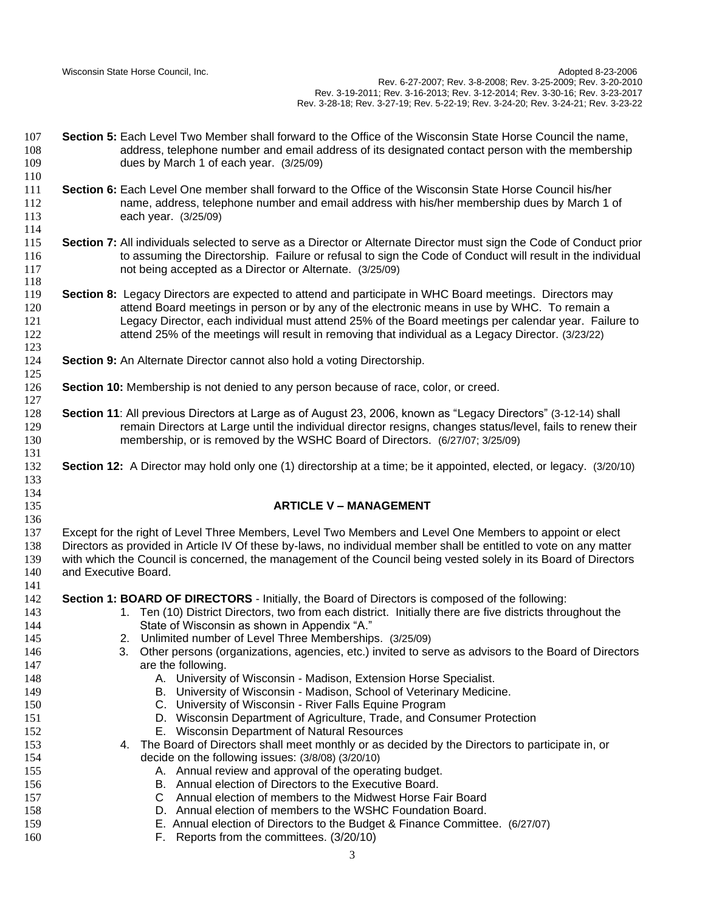Wisconsin State Horse Council, Inc. **Adopted 8-23-2006** Nisconsin State Horse Council, Inc. Rev. 6-27-2007; Rev. 3-8-2008; Rev. 3-25-2009; Rev. 3-20-2010 Rev. 3-19-2011; Rev. 3-16-2013; Rev. 3-12-2014; Rev. 3-30-16; Rev. 3-23-2017 Rev. 3-28-18; Rev. 3-27-19; Rev. 5-22-19; Rev. 3-24-20; Rev. 3-24-21; Rev. 3-23-22

- **Section 5:** Each Level Two Member shall forward to the Office of the Wisconsin State Horse Council the name, address, telephone number and email address of its designated contact person with the membership dues by March 1 of each year. (3/25/09)
- **Section 6:** Each Level One member shall forward to the Office of the Wisconsin State Horse Council his/her name, address, telephone number and email address with his/her membership dues by March 1 of each year. (3/25/09)
- **Section 7:** All individuals selected to serve as a Director or Alternate Director must sign the Code of Conduct prior 116 to assuming the Directorship. Failure or refusal to sign the Code of Conduct will result in the individual not being accepted as a Director or Alternate. (3/25/09)
- **Section 8:** Legacy Directors are expected to attend and participate in WHC Board meetings. Directors may attend Board meetings in person or by any of the electronic means in use by WHC. To remain a Legacy Director, each individual must attend 25% of the Board meetings per calendar year. Failure to attend 25% of the meetings will result in removing that individual as a Legacy Director. (3/23/22)
- **Section 9:** An Alternate Director cannot also hold a voting Directorship.
- **Section 10:** Membership is not denied to any person because of race, color, or creed.
- **Section 11**: All previous Directors at Large as of August 23, 2006, known as "Legacy Directors" (3-12-14) shall remain Directors at Large until the individual director resigns, changes status/level, fails to renew their membership, or is removed by the WSHC Board of Directors. (6/27/07; 3/25/09)
- **Section 12:** A Director may hold only one (1) directorship at a time; be it appointed, elected, or legacy. (3/20/10)

## **ARTICLE V – MANAGEMENT**

 Except for the right of Level Three Members, Level Two Members and Level One Members to appoint or elect Directors as provided in Article IV Of these by-laws, no individual member shall be entitled to vote on any matter with which the Council is concerned, the management of the Council being vested solely in its Board of Directors and Executive Board.

- **Section 1: BOARD OF DIRECTORS** Initially, the Board of Directors is composed of the following:
- 143 143 1. Ten (10) District Directors, two from each district. Initially there are five districts throughout the State of Wisconsin as shown in Appendix "A."
- 2. Unlimited number of Level Three Memberships. (3/25/09)
- 3. Other persons (organizations, agencies, etc.) invited to serve as advisors to the Board of Directors **are the following.**
- A. University of Wisconsin Madison, Extension Horse Specialist.
- B. University of Wisconsin Madison, School of Veterinary Medicine.
- C. University of Wisconsin River Falls Equine Program
- D. Wisconsin Department of Agriculture, Trade, and Consumer Protection
- E. Wisconsin Department of Natural Resources
- 4. The Board of Directors shall meet monthly or as decided by the Directors to participate in, or decide on the following issues: (3/8/08) (3/20/10)
- 155 A. Annual review and approval of the operating budget.
- B. Annual election of Directors to the Executive Board.
- C Annual election of members to the Midwest Horse Fair Board
- D. Annual election of members to the WSHC Foundation Board.
- E. Annual election of Directors to the Budget & Finance Committee. (6/27/07)
- F. Reports from the committees. (3/20/10)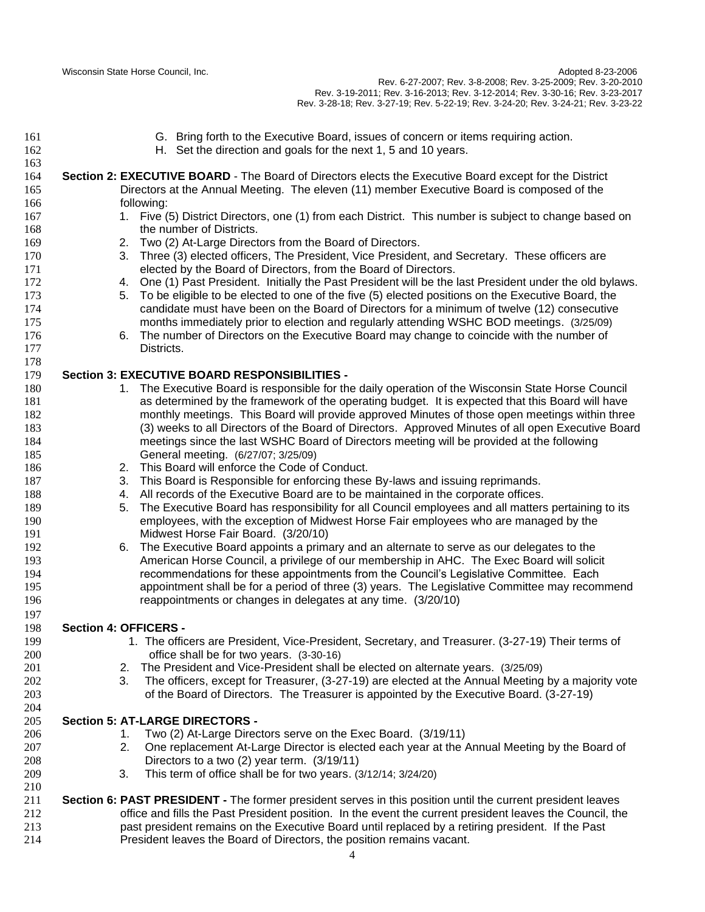- G. Bring forth to the Executive Board, issues of concern or items requiring action. H. Set the direction and goals for the next 1, 5 and 10 years. **Section 2: EXECUTIVE BOARD** - The Board of Directors elects the Executive Board except for the District Directors at the Annual Meeting. The eleven (11) member Executive Board is composed of the following: 167 1. Five (5) District Directors, one (1) from each District. This number is subject to change based on 168 the number of Districts. 2. Two (2) At-Large Directors from the Board of Directors. 3. Three (3) elected officers, The President, Vice President, and Secretary. These officers are elected by the Board of Directors, from the Board of Directors. 4. One (1) Past President. Initially the Past President will be the last President under the old bylaws. 5. To be eligible to be elected to one of the five (5) elected positions on the Executive Board, the candidate must have been on the Board of Directors for a minimum of twelve (12) consecutive months immediately prior to election and regularly attending WSHC BOD meetings. (3/25/09) 6. The number of Directors on the Executive Board may change to coincide with the number of Districts. **Section 3: EXECUTIVE BOARD RESPONSIBILITIES -** 180 1. The Executive Board is responsible for the daily operation of the Wisconsin State Horse Council as determined by the framework of the operating budget. It is expected that this Board will have monthly meetings. This Board will provide approved Minutes of those open meetings within three (3) weeks to all Directors of the Board of Directors. Approved Minutes of all open Executive Board meetings since the last WSHC Board of Directors meeting will be provided at the following General meeting. (6/27/07; 3/25/09) 2. This Board will enforce the Code of Conduct. 3. This Board is Responsible for enforcing these By-laws and issuing reprimands. 4. All records of the Executive Board are to be maintained in the corporate offices. 5. The Executive Board has responsibility for all Council employees and all matters pertaining to its employees, with the exception of Midwest Horse Fair employees who are managed by the Midwest Horse Fair Board. (3/20/10) 6. The Executive Board appoints a primary and an alternate to serve as our delegates to the American Horse Council, a privilege of our membership in AHC. The Exec Board will solicit recommendations for these appointments from the Council's Legislative Committee. Each appointment shall be for a period of three (3) years. The Legislative Committee may recommend reappointments or changes in delegates at any time. (3/20/10) **Section 4: OFFICERS -** 1. The officers are President, Vice-President, Secretary, and Treasurer. (3-27-19) Their terms of office shall be for two years. (3-30-16) 2. The President and Vice-President shall be elected on alternate years. (3/25/09) 3. The officers, except for Treasurer, (3-27-19) are elected at the Annual Meeting by a majority vote of the Board of Directors. The Treasurer is appointed by the Executive Board. (3-27-19) **Section 5: AT-LARGE DIRECTORS -** 1. Two (2) At-Large Directors serve on the Exec Board. (3/19/11) 2. One replacement At-Large Director is elected each year at the Annual Meeting by the Board of Directors to a two (2) year term. (3/19/11) 3. This term of office shall be for two years. (3/12/14; 3/24/20) **Section 6: PAST PRESIDENT -** The former president serves in this position until the current president leaves office and fills the Past President position. In the event the current president leaves the Council, the past president remains on the Executive Board until replaced by a retiring president. If the Past
- President leaves the Board of Directors, the position remains vacant.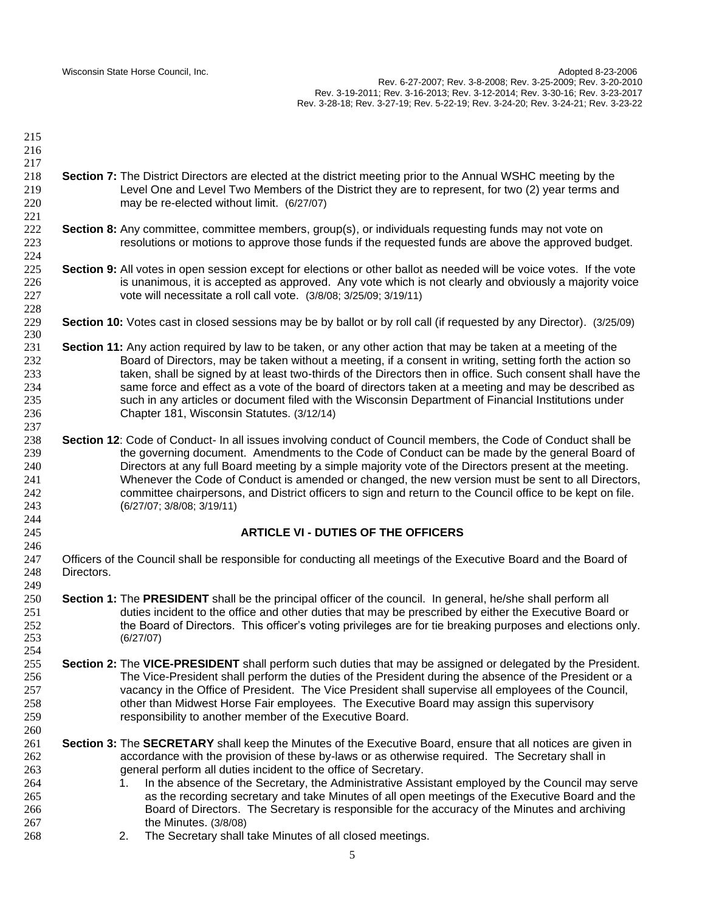Wisconsin State Horse Council, Inc. **Adopted 8-23-2006** Nisconsin State Horse Council, Inc. Rev. 6-27-2007; Rev. 3-8-2008; Rev. 3-25-2009; Rev. 3-20-2010 Rev. 3-19-2011; Rev. 3-16-2013; Rev. 3-12-2014; Rev. 3-30-16; Rev. 3-23-2017 Rev. 3-28-18; Rev. 3-27-19; Rev. 5-22-19; Rev. 3-24-20; Rev. 3-24-21; Rev. 3-23-22

 **Section 7:** The District Directors are elected at the district meeting prior to the Annual WSHC meeting by the Level One and Level Two Members of the District they are to represent, for two (2) year terms and may be re-elected without limit. (6/27/07) **Section 8:** Any committee, committee members, group(s), or individuals requesting funds may not vote on resolutions or motions to approve those funds if the requested funds are above the approved budget. **Section 9:** All votes in open session except for elections or other ballot as needed will be voice votes. If the vote is unanimous, it is accepted as approved. Any vote which is not clearly and obviously a majority voice vote will necessitate a roll call vote. (3/8/08; 3/25/09; 3/19/11) **Section 10:** Votes cast in closed sessions may be by ballot or by roll call (if requested by any Director). (3/25/09) **Section 11:** Any action required by law to be taken, or any other action that may be taken at a meeting of the Board of Directors, may be taken without a meeting, if a consent in writing, setting forth the action so taken, shall be signed by at least two-thirds of the Directors then in office. Such consent shall have the same force and effect as a vote of the board of directors taken at a meeting and may be described as such in any articles or document filed with the Wisconsin Department of Financial Institutions under Chapter 181, Wisconsin Statutes. (3/12/14) **Section 12**: Code of Conduct- In all issues involving conduct of Council members, the Code of Conduct shall be the governing document. Amendments to the Code of Conduct can be made by the general Board of Directors at any full Board meeting by a simple majority vote of the Directors present at the meeting. Whenever the Code of Conduct is amended or changed, the new version must be sent to all Directors, committee chairpersons, and District officers to sign and return to the Council office to be kept on file. (6/27/07; 3/8/08; 3/19/11) **ARTICLE VI - DUTIES OF THE OFFICERS** Officers of the Council shall be responsible for conducting all meetings of the Executive Board and the Board of Directors. **Section 1:** The **PRESIDENT** shall be the principal officer of the council. In general, he/she shall perform all duties incident to the office and other duties that may be prescribed by either the Executive Board or the Board of Directors. This officer's voting privileges are for tie breaking purposes and elections only. (6/27/07) **Section 2:** The **VICE-PRESIDENT** shall perform such duties that may be assigned or delegated by the President. The Vice-President shall perform the duties of the President during the absence of the President or a vacancy in the Office of President. The Vice President shall supervise all employees of the Council, other than Midwest Horse Fair employees. The Executive Board may assign this supervisory responsibility to another member of the Executive Board. **Section 3:** The **SECRETARY** shall keep the Minutes of the Executive Board, ensure that all notices are given in accordance with the provision of these by-laws or as otherwise required. The Secretary shall in general perform all duties incident to the office of Secretary. 1. In the absence of the Secretary, the Administrative Assistant employed by the Council may serve as the recording secretary and take Minutes of all open meetings of the Executive Board and the Board of Directors. The Secretary is responsible for the accuracy of the Minutes and archiving the Minutes. (3/8/08) 2. The Secretary shall take Minutes of all closed meetings.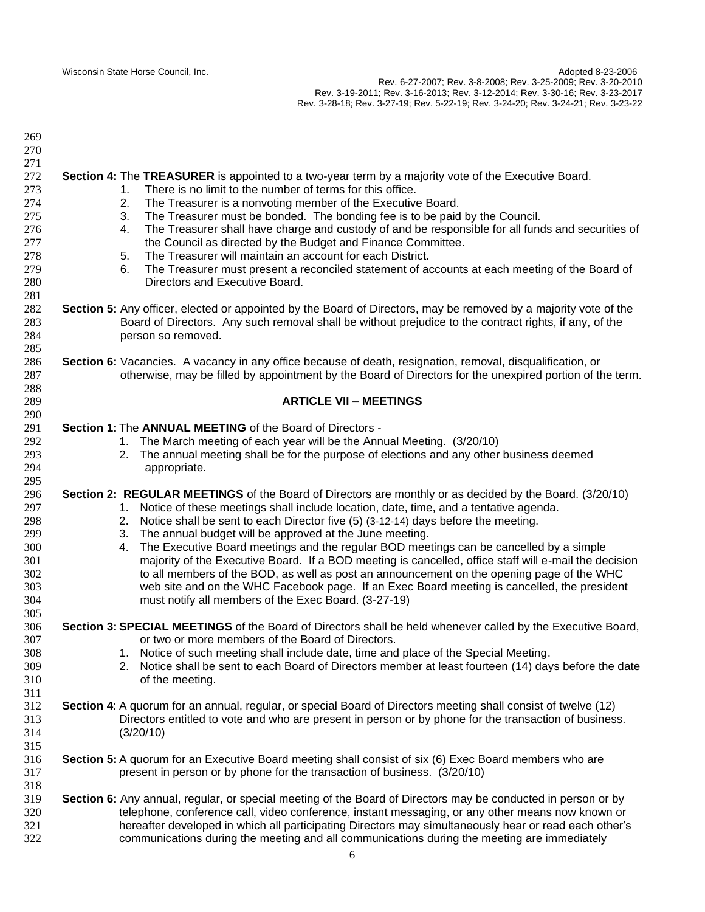| 269 |                                                                                                                  |
|-----|------------------------------------------------------------------------------------------------------------------|
| 270 |                                                                                                                  |
| 271 |                                                                                                                  |
| 272 | Section 4: The TREASURER is appointed to a two-year term by a majority vote of the Executive Board.              |
| 273 | There is no limit to the number of terms for this office.<br>1.                                                  |
| 274 | 2.<br>The Treasurer is a nonvoting member of the Executive Board.                                                |
| 275 | 3.<br>The Treasurer must be bonded. The bonding fee is to be paid by the Council.                                |
| 276 | The Treasurer shall have charge and custody of and be responsible for all funds and securities of<br>4.          |
| 277 | the Council as directed by the Budget and Finance Committee.                                                     |
| 278 | The Treasurer will maintain an account for each District.<br>5.                                                  |
| 279 | 6.<br>The Treasurer must present a reconciled statement of accounts at each meeting of the Board of              |
| 280 | Directors and Executive Board.                                                                                   |
| 281 |                                                                                                                  |
| 282 | Section 5: Any officer, elected or appointed by the Board of Directors, may be removed by a majority vote of the |
| 283 | Board of Directors. Any such removal shall be without prejudice to the contract rights, if any, of the           |
| 284 | person so removed.                                                                                               |
| 285 |                                                                                                                  |
| 286 | Section 6: Vacancies. A vacancy in any office because of death, resignation, removal, disqualification, or       |
| 287 | otherwise, may be filled by appointment by the Board of Directors for the unexpired portion of the term.         |
| 288 |                                                                                                                  |
| 289 | <b>ARTICLE VII - MEETINGS</b>                                                                                    |
| 290 |                                                                                                                  |
| 291 | Section 1: The ANNUAL MEETING of the Board of Directors -                                                        |
| 292 | 1. The March meeting of each year will be the Annual Meeting. (3/20/10)                                          |
| 293 | 2. The annual meeting shall be for the purpose of elections and any other business deemed                        |
| 294 | appropriate.                                                                                                     |
| 295 |                                                                                                                  |
| 296 | Section 2: REGULAR MEETINGS of the Board of Directors are monthly or as decided by the Board. (3/20/10)          |
| 297 | 1. Notice of these meetings shall include location, date, time, and a tentative agenda.                          |
| 298 | Notice shall be sent to each Director five (5) (3-12-14) days before the meeting.<br>2.                          |
| 299 | The annual budget will be approved at the June meeting.<br>3.                                                    |
| 300 | The Executive Board meetings and the regular BOD meetings can be cancelled by a simple<br>4.                     |
| 301 | majority of the Executive Board. If a BOD meeting is cancelled, office staff will e-mail the decision            |
| 302 | to all members of the BOD, as well as post an announcement on the opening page of the WHC                        |
| 303 | web site and on the WHC Facebook page. If an Exec Board meeting is cancelled, the president                      |
|     |                                                                                                                  |
| 304 | must notify all members of the Exec Board. (3-27-19)                                                             |
| 305 |                                                                                                                  |
| 306 | Section 3: SPECIAL MEETINGS of the Board of Directors shall be held whenever called by the Executive Board,      |
| 307 | or two or more members of the Board of Directors.                                                                |
| 308 | 1. Notice of such meeting shall include date, time and place of the Special Meeting.                             |
| 309 | Notice shall be sent to each Board of Directors member at least fourteen (14) days before the date<br>2.         |
| 310 | of the meeting.                                                                                                  |
| 311 |                                                                                                                  |
| 312 | Section 4: A quorum for an annual, regular, or special Board of Directors meeting shall consist of twelve (12)   |
| 313 | Directors entitled to vote and who are present in person or by phone for the transaction of business.            |
| 314 | (3/20/10)                                                                                                        |
| 315 |                                                                                                                  |
| 316 | Section 5: A quorum for an Executive Board meeting shall consist of six (6) Exec Board members who are           |
| 317 | present in person or by phone for the transaction of business. (3/20/10)                                         |
| 318 |                                                                                                                  |
| 319 | Section 6: Any annual, regular, or special meeting of the Board of Directors may be conducted in person or by    |
| 320 | telephone, conference call, video conference, instant messaging, or any other means now known or                 |
| 321 | hereafter developed in which all participating Directors may simultaneously hear or read each other's            |
| 322 | communications during the meeting and all communications during the meeting are immediately                      |
|     |                                                                                                                  |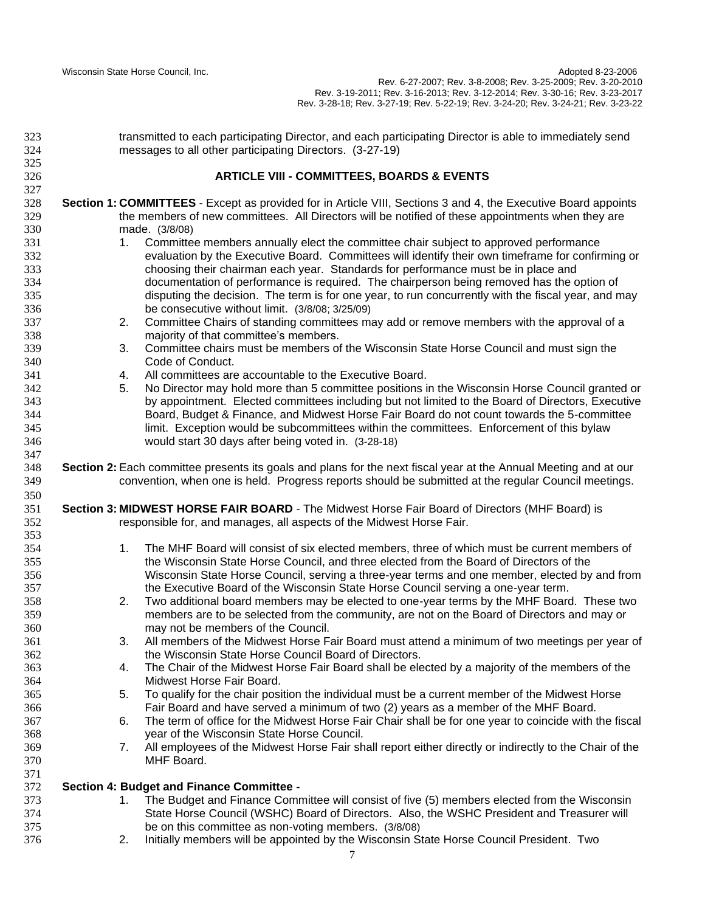Wisconsin State Horse Council, Inc. Adopted 8-23-2006 Rev. 6-27-2007; Rev. 3-8-2008; Rev. 3-25-2009; Rev. 3-20-2010 Rev. 3-19-2011; Rev. 3-16-2013; Rev. 3-12-2014; Rev. 3-30-16; Rev. 3-23-2017 Rev. 3-28-18; Rev. 3-27-19; Rev. 5-22-19; Rev. 3-24-20; Rev. 3-24-21; Rev. 3-23-22

| 323 | transmitted to each participating Director, and each participating Director is able to immediately send          |
|-----|------------------------------------------------------------------------------------------------------------------|
| 324 | messages to all other participating Directors. (3-27-19)                                                         |
| 325 |                                                                                                                  |
| 326 | <b>ARTICLE VIII - COMMITTEES, BOARDS &amp; EVENTS</b>                                                            |
| 327 |                                                                                                                  |
| 328 | Section 1: COMMITTEES - Except as provided for in Article VIII, Sections 3 and 4, the Executive Board appoints   |
| 329 | the members of new committees. All Directors will be notified of these appointments when they are                |
| 330 | made. (3/8/08)                                                                                                   |
| 331 | Committee members annually elect the committee chair subject to approved performance<br>1.                       |
| 332 | evaluation by the Executive Board. Committees will identify their own timeframe for confirming or                |
| 333 | choosing their chairman each year. Standards for performance must be in place and                                |
| 334 | documentation of performance is required. The chairperson being removed has the option of                        |
| 335 | disputing the decision. The term is for one year, to run concurrently with the fiscal year, and may              |
| 336 | be consecutive without limit. (3/8/08; 3/25/09)                                                                  |
| 337 | Committee Chairs of standing committees may add or remove members with the approval of a<br>2.                   |
| 338 | majority of that committee's members.                                                                            |
| 339 | Committee chairs must be members of the Wisconsin State Horse Council and must sign the<br>3.                    |
| 340 | Code of Conduct.                                                                                                 |
| 341 | All committees are accountable to the Executive Board.<br>4.                                                     |
| 342 | No Director may hold more than 5 committee positions in the Wisconsin Horse Council granted or<br>5.             |
| 343 | by appointment. Elected committees including but not limited to the Board of Directors, Executive                |
| 344 | Board, Budget & Finance, and Midwest Horse Fair Board do not count towards the 5-committee                       |
| 345 | limit. Exception would be subcommittees within the committees. Enforcement of this bylaw                         |
| 346 | would start 30 days after being voted in. (3-28-18)                                                              |
| 347 |                                                                                                                  |
| 348 | Section 2: Each committee presents its goals and plans for the next fiscal year at the Annual Meeting and at our |
| 349 | convention, when one is held. Progress reports should be submitted at the regular Council meetings.              |
| 350 |                                                                                                                  |
| 351 | Section 3: MIDWEST HORSE FAIR BOARD - The Midwest Horse Fair Board of Directors (MHF Board) is                   |
| 352 | responsible for, and manages, all aspects of the Midwest Horse Fair.                                             |
| 353 |                                                                                                                  |
| 354 | 1.<br>The MHF Board will consist of six elected members, three of which must be current members of               |
| 355 | the Wisconsin State Horse Council, and three elected from the Board of Directors of the                          |
| 356 | Wisconsin State Horse Council, serving a three-year terms and one member, elected by and from                    |
| 357 | the Executive Board of the Wisconsin State Horse Council serving a one-year term.                                |
| 358 | Two additional board members may be elected to one-year terms by the MHF Board. These two<br>2.                  |
| 359 | members are to be selected from the community, are not on the Board of Directors and may or                      |
| 360 | may not be members of the Council.                                                                               |
| 361 | All members of the Midwest Horse Fair Board must attend a minimum of two meetings per year of<br>3.              |
| 362 | the Wisconsin State Horse Council Board of Directors.                                                            |
| 363 | The Chair of the Midwest Horse Fair Board shall be elected by a majority of the members of the<br>4.             |
| 364 | Midwest Horse Fair Board.                                                                                        |
| 365 | To qualify for the chair position the individual must be a current member of the Midwest Horse<br>5.             |
| 366 | Fair Board and have served a minimum of two (2) years as a member of the MHF Board.                              |
| 367 | The term of office for the Midwest Horse Fair Chair shall be for one year to coincide with the fiscal<br>6.      |
| 368 | year of the Wisconsin State Horse Council.                                                                       |
| 369 | All employees of the Midwest Horse Fair shall report either directly or indirectly to the Chair of the<br>7.     |
| 370 | MHF Board.                                                                                                       |
| 371 |                                                                                                                  |
| 372 | Section 4: Budget and Finance Committee -                                                                        |
| 373 | The Budget and Finance Committee will consist of five (5) members elected from the Wisconsin<br>1.               |
| 374 | State Horse Council (WSHC) Board of Directors. Also, the WSHC President and Treasurer will                       |
| 375 | be on this committee as non-voting members. (3/8/08)                                                             |
| 376 | Initially members will be appointed by the Wisconsin State Horse Council President. Two<br>2.                    |
|     |                                                                                                                  |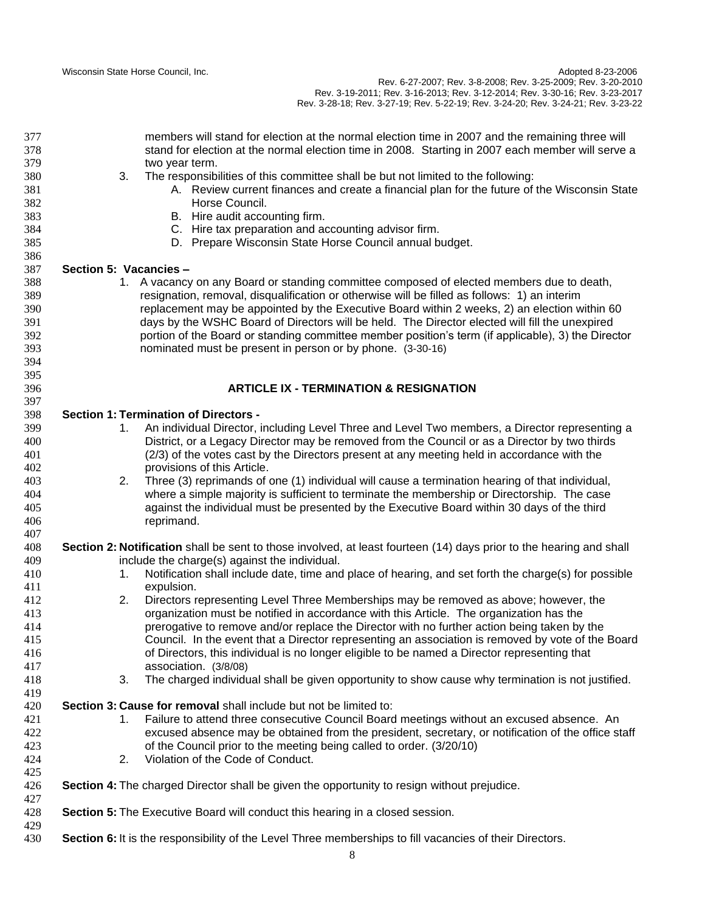Wisconsin State Horse Council, Inc. Adopted 8-23-2006 Rev. 6-27-2007; Rev. 3-8-2008; Rev. 3-25-2009; Rev. 3-20-2010 Rev. 3-19-2011; Rev. 3-16-2013; Rev. 3-12-2014; Rev. 3-30-16; Rev. 3-23-2017 Rev. 3-28-18; Rev. 3-27-19; Rev. 5-22-19; Rev. 3-24-20; Rev. 3-24-21; Rev. 3-23-22

| 377<br>378<br>379 |                        | members will stand for election at the normal election time in 2007 and the remaining three will<br>stand for election at the normal election time in 2008. Starting in 2007 each member will serve a<br>two year term. |
|-------------------|------------------------|-------------------------------------------------------------------------------------------------------------------------------------------------------------------------------------------------------------------------|
| 380<br>381<br>382 | 3.                     | The responsibilities of this committee shall be but not limited to the following:<br>A. Review current finances and create a financial plan for the future of the Wisconsin State<br>Horse Council.                     |
| 383               |                        | B. Hire audit accounting firm.                                                                                                                                                                                          |
| 384               |                        | C. Hire tax preparation and accounting advisor firm.                                                                                                                                                                    |
| 385               |                        | D. Prepare Wisconsin State Horse Council annual budget.                                                                                                                                                                 |
| 386               |                        |                                                                                                                                                                                                                         |
| 387               | Section 5: Vacancies - |                                                                                                                                                                                                                         |
|                   |                        |                                                                                                                                                                                                                         |
| 388               |                        | 1. A vacancy on any Board or standing committee composed of elected members due to death,                                                                                                                               |
| 389               |                        | resignation, removal, disqualification or otherwise will be filled as follows: 1) an interim                                                                                                                            |
| 390               |                        | replacement may be appointed by the Executive Board within 2 weeks, 2) an election within 60                                                                                                                            |
| 391               |                        | days by the WSHC Board of Directors will be held. The Director elected will fill the unexpired                                                                                                                          |
| 392               |                        | portion of the Board or standing committee member position's term (if applicable), 3) the Director                                                                                                                      |
| 393               |                        | nominated must be present in person or by phone. (3-30-16)                                                                                                                                                              |
| 394               |                        |                                                                                                                                                                                                                         |
| 395               |                        |                                                                                                                                                                                                                         |
| 396               |                        | <b>ARTICLE IX - TERMINATION &amp; RESIGNATION</b>                                                                                                                                                                       |
| 397               |                        |                                                                                                                                                                                                                         |
| 398               |                        | <b>Section 1: Termination of Directors -</b>                                                                                                                                                                            |
| 399               | 1.                     | An individual Director, including Level Three and Level Two members, a Director representing a                                                                                                                          |
| 400               |                        | District, or a Legacy Director may be removed from the Council or as a Director by two thirds                                                                                                                           |
| 401               |                        | (2/3) of the votes cast by the Directors present at any meeting held in accordance with the                                                                                                                             |
| 402               |                        | provisions of this Article.                                                                                                                                                                                             |
| 403               | 2.                     | Three (3) reprimands of one (1) individual will cause a termination hearing of that individual,                                                                                                                         |
| 404               |                        | where a simple majority is sufficient to terminate the membership or Directorship. The case                                                                                                                             |
| 405               |                        | against the individual must be presented by the Executive Board within 30 days of the third                                                                                                                             |
| 406               |                        | reprimand.                                                                                                                                                                                                              |
| 407               |                        |                                                                                                                                                                                                                         |
| 408               |                        | Section 2: Notification shall be sent to those involved, at least fourteen (14) days prior to the hearing and shall                                                                                                     |
| 409               |                        | include the charge(s) against the individual.                                                                                                                                                                           |
|                   |                        |                                                                                                                                                                                                                         |
| 410               | 1.                     | Notification shall include date, time and place of hearing, and set forth the charge(s) for possible                                                                                                                    |
| 411               |                        | expulsion.                                                                                                                                                                                                              |
| 412               | 2.                     | Directors representing Level Three Memberships may be removed as above; however, the                                                                                                                                    |
| 413               |                        | organization must be notified in accordance with this Article. The organization has the                                                                                                                                 |
| 414               |                        | prerogative to remove and/or replace the Director with no further action being taken by the                                                                                                                             |
| 415               |                        | Council. In the event that a Director representing an association is removed by vote of the Board                                                                                                                       |
| 416               |                        | of Directors, this individual is no longer eligible to be named a Director representing that                                                                                                                            |
| 417               |                        | association. (3/8/08)                                                                                                                                                                                                   |
| 418               | 3.                     | The charged individual shall be given opportunity to show cause why termination is not justified.                                                                                                                       |
| 419               |                        |                                                                                                                                                                                                                         |
| 420               |                        | Section 3: Cause for removal shall include but not be limited to:                                                                                                                                                       |
| 421               | 1.                     | Failure to attend three consecutive Council Board meetings without an excused absence. An                                                                                                                               |
| 422               |                        | excused absence may be obtained from the president, secretary, or notification of the office staff                                                                                                                      |
| 423               |                        | of the Council prior to the meeting being called to order. (3/20/10)                                                                                                                                                    |
| 424               | 2.                     | Violation of the Code of Conduct.                                                                                                                                                                                       |
| 425               |                        |                                                                                                                                                                                                                         |
| 426               |                        | Section 4: The charged Director shall be given the opportunity to resign without prejudice.                                                                                                                             |
| 427               |                        |                                                                                                                                                                                                                         |
| 428               |                        | Section 5: The Executive Board will conduct this hearing in a closed session.                                                                                                                                           |
|                   |                        |                                                                                                                                                                                                                         |
| 429               |                        |                                                                                                                                                                                                                         |
| 430               |                        | Section 6: It is the responsibility of the Level Three memberships to fill vacancies of their Directors.                                                                                                                |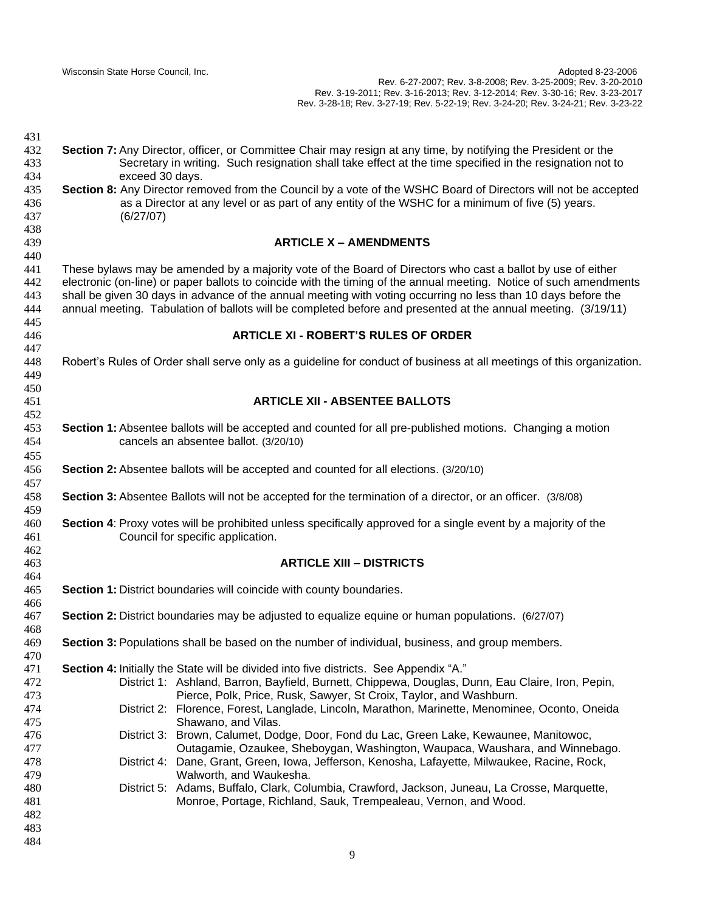**Section 7:** Any Director, officer, or Committee Chair may resign at any time, by notifying the President or the Secretary in writing. Such resignation shall take effect at the time specified in the resignation not to exceed 30 days. **Section 8:** Any Director removed from the Council by a vote of the WSHC Board of Directors will not be accepted as a Director at any level or as part of any entity of the WSHC for a minimum of five (5) years. (6/27/07) **ARTICLE X – AMENDMENTS** These bylaws may be amended by a majority vote of the Board of Directors who cast a ballot by use of either electronic (on-line) or paper ballots to coincide with the timing of the annual meeting. Notice of such amendments shall be given 30 days in advance of the annual meeting with voting occurring no less than 10 days before the annual meeting. Tabulation of ballots will be completed before and presented at the annual meeting. (3/19/11) **ARTICLE XI - ROBERT'S RULES OF ORDER** Robert's Rules of Order shall serve only as a guideline for conduct of business at all meetings of this organization. **ARTICLE XII - ABSENTEE BALLOTS Section 1:** Absentee ballots will be accepted and counted for all pre-published motions. Changing a motion cancels an absentee ballot. (3/20/10) **Section 2:** Absentee ballots will be accepted and counted for all elections. (3/20/10) **Section 3:** Absentee Ballots will not be accepted for the termination of a director, or an officer. (3/8/08) **Section 4**: Proxy votes will be prohibited unless specifically approved for a single event by a majority of the Council for specific application. **ARTICLE XIII – DISTRICTS Section 1:** District boundaries will coincide with county boundaries. **Section 2:** District boundaries may be adjusted to equalize equine or human populations. (6/27/07) **Section 3:** Populations shall be based on the number of individual, business, and group members. **Section 4:** Initially the State will be divided into five districts. See Appendix "A." District 1: Ashland, Barron, Bayfield, Burnett, Chippewa, Douglas, Dunn, Eau Claire, Iron, Pepin, Pierce, Polk, Price, Rusk, Sawyer, St Croix, Taylor, and Washburn. District 2: Florence, Forest, Langlade, Lincoln, Marathon, Marinette, Menominee, Oconto, Oneida Shawano, and Vilas. District 3: Brown, Calumet, Dodge, Door, Fond du Lac, Green Lake, Kewaunee, Manitowoc, Outagamie, Ozaukee, Sheboygan, Washington, Waupaca, Waushara, and Winnebago. District 4: Dane, Grant, Green, Iowa, Jefferson, Kenosha, Lafayette, Milwaukee, Racine, Rock, Walworth, and Waukesha. District 5: Adams, Buffalo, Clark, Columbia, Crawford, Jackson, Juneau, La Crosse, Marquette, Monroe, Portage, Richland, Sauk, Trempealeau, Vernon, and Wood.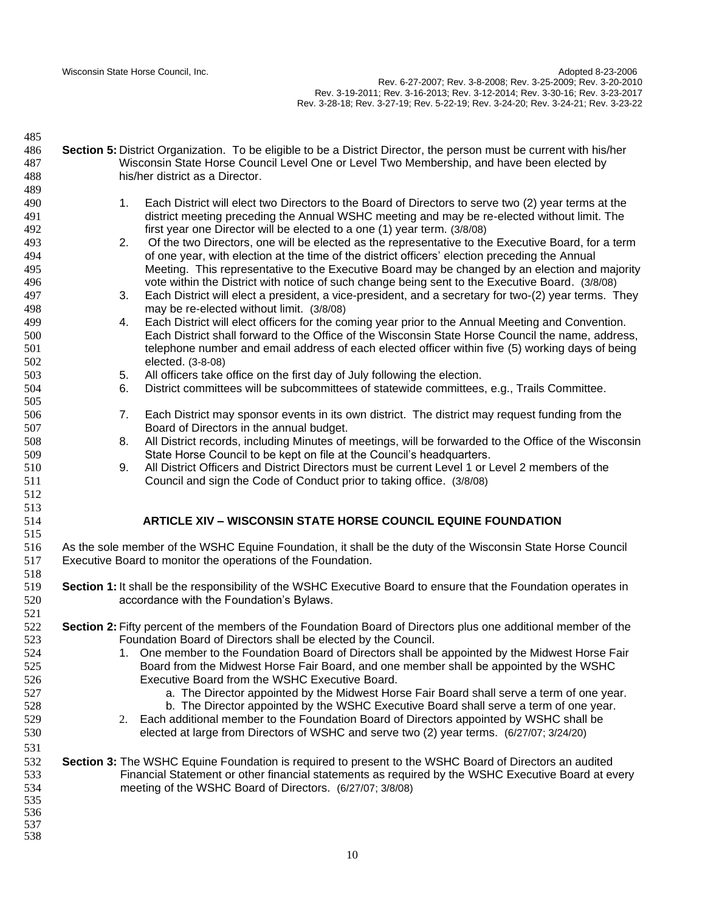| 485        |                                                                                                                     |                                                                                                                 |  |
|------------|---------------------------------------------------------------------------------------------------------------------|-----------------------------------------------------------------------------------------------------------------|--|
| 486        | Section 5: District Organization. To be eligible to be a District Director, the person must be current with his/her |                                                                                                                 |  |
| 487        | Wisconsin State Horse Council Level One or Level Two Membership, and have been elected by                           |                                                                                                                 |  |
| 488        |                                                                                                                     | his/her district as a Director.                                                                                 |  |
| 489        |                                                                                                                     |                                                                                                                 |  |
| 490        |                                                                                                                     | Each District will elect two Directors to the Board of Directors to serve two (2) year terms at the<br>1.       |  |
| 491        |                                                                                                                     | district meeting preceding the Annual WSHC meeting and may be re-elected without limit. The                     |  |
| 492        |                                                                                                                     | first year one Director will be elected to a one (1) year term. (3/8/08)                                        |  |
| 493        |                                                                                                                     | 2.<br>Of the two Directors, one will be elected as the representative to the Executive Board, for a term        |  |
| 494        |                                                                                                                     | of one year, with election at the time of the district officers' election preceding the Annual                  |  |
| 495        |                                                                                                                     | Meeting. This representative to the Executive Board may be changed by an election and majority                  |  |
| 496        |                                                                                                                     | vote within the District with notice of such change being sent to the Executive Board. (3/8/08)                 |  |
| 497        |                                                                                                                     | Each District will elect a president, a vice-president, and a secretary for two-(2) year terms. They<br>3.      |  |
| 498        |                                                                                                                     | may be re-elected without limit. (3/8/08)                                                                       |  |
| 499        |                                                                                                                     | Each District will elect officers for the coming year prior to the Annual Meeting and Convention.<br>4.         |  |
| 500        |                                                                                                                     | Each District shall forward to the Office of the Wisconsin State Horse Council the name, address,               |  |
| 501        |                                                                                                                     | telephone number and email address of each elected officer within five (5) working days of being                |  |
| 502        |                                                                                                                     | elected. (3-8-08)                                                                                               |  |
| 503        |                                                                                                                     | All officers take office on the first day of July following the election.<br>5.                                 |  |
| 504        |                                                                                                                     | District committees will be subcommittees of statewide committees, e.g., Trails Committee.<br>6.                |  |
| 505        |                                                                                                                     |                                                                                                                 |  |
| 506        |                                                                                                                     | Each District may sponsor events in its own district. The district may request funding from the<br>7.           |  |
| 507        |                                                                                                                     | Board of Directors in the annual budget.                                                                        |  |
| 508        |                                                                                                                     | All District records, including Minutes of meetings, will be forwarded to the Office of the Wisconsin<br>8.     |  |
| 509        |                                                                                                                     | State Horse Council to be kept on file at the Council's headquarters.                                           |  |
| 510        |                                                                                                                     | All District Officers and District Directors must be current Level 1 or Level 2 members of the<br>9.            |  |
| 511        |                                                                                                                     | Council and sign the Code of Conduct prior to taking office. (3/8/08)                                           |  |
| 512<br>513 |                                                                                                                     |                                                                                                                 |  |
| 514        |                                                                                                                     | <b>ARTICLE XIV - WISCONSIN STATE HORSE COUNCIL EQUINE FOUNDATION</b>                                            |  |
| 515        |                                                                                                                     |                                                                                                                 |  |
| 516        |                                                                                                                     | As the sole member of the WSHC Equine Foundation, it shall be the duty of the Wisconsin State Horse Council     |  |
| 517        |                                                                                                                     | Executive Board to monitor the operations of the Foundation.                                                    |  |
| 518        |                                                                                                                     |                                                                                                                 |  |
| 519        |                                                                                                                     | Section 1: It shall be the responsibility of the WSHC Executive Board to ensure that the Foundation operates in |  |
| 520        |                                                                                                                     | accordance with the Foundation's Bylaws.                                                                        |  |
| 521        |                                                                                                                     |                                                                                                                 |  |
| 522        |                                                                                                                     | Section 2: Fifty percent of the members of the Foundation Board of Directors plus one additional member of the  |  |
| 523        |                                                                                                                     | Foundation Board of Directors shall be elected by the Council.                                                  |  |
| 524        |                                                                                                                     | 1. One member to the Foundation Board of Directors shall be appointed by the Midwest Horse Fair                 |  |
| 525        |                                                                                                                     | Board from the Midwest Horse Fair Board, and one member shall be appointed by the WSHC                          |  |
| 526        |                                                                                                                     | Executive Board from the WSHC Executive Board.                                                                  |  |
| 527        |                                                                                                                     | a. The Director appointed by the Midwest Horse Fair Board shall serve a term of one year.                       |  |
| 528        |                                                                                                                     | b. The Director appointed by the WSHC Executive Board shall serve a term of one year.                           |  |
| 529        |                                                                                                                     | 2. Each additional member to the Foundation Board of Directors appointed by WSHC shall be                       |  |
| 530        |                                                                                                                     | elected at large from Directors of WSHC and serve two (2) year terms. (6/27/07; 3/24/20)                        |  |
| 531        |                                                                                                                     |                                                                                                                 |  |
| 532        |                                                                                                                     | Section 3: The WSHC Equine Foundation is required to present to the WSHC Board of Directors an audited          |  |
| 533        |                                                                                                                     | Financial Statement or other financial statements as required by the WSHC Executive Board at every              |  |
| 534        |                                                                                                                     | meeting of the WSHC Board of Directors. (6/27/07; 3/8/08)                                                       |  |
| 535        |                                                                                                                     |                                                                                                                 |  |
| 536        |                                                                                                                     |                                                                                                                 |  |
| 537        |                                                                                                                     |                                                                                                                 |  |
| 538        |                                                                                                                     |                                                                                                                 |  |